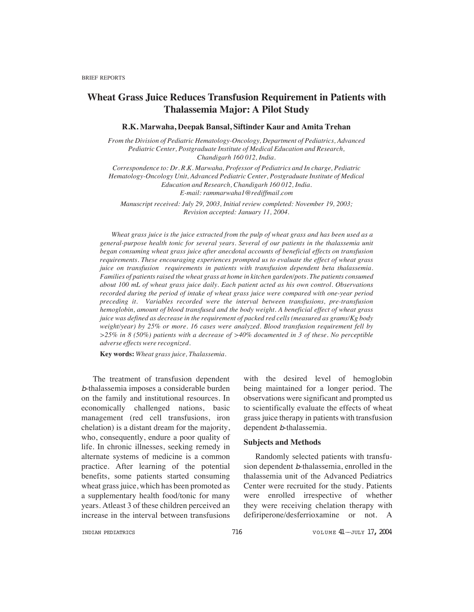# **Wheat Grass Juice Reduces Transfusion Requirement in Patients with Thalassemia Major: A Pilot Study**

# **R.K. Marwaha, Deepak Bansal, Siftinder Kaur and Amita Trehan**

*From the Division of Pediatric Hematology-Oncology, Department of Pediatrics, Advanced Pediatric Center, Postgraduate Institute of Medical Education and Research, Chandigarh 160 012, India.*

*Correspondence to: Dr. R.K. Marwaha, Professor of Pediatrics and In charge, Pediatric Hematology-Oncology Unit, Advanced Pediatric Center, Postgraduate Institute of Medical Education and Research, Chandigarh 160 012, India. E-mail: rammarwaha1@rediffmail.com*

*Manuscript received: July 29, 2003, Initial review completed: November 19, 2003; Revision accepted: January 11, 2004.*

*Wheat grass juice is the juice extracted from the pulp of wheat grass and has been used as a general-purpose health tonic for several years. Several of our patients in the thalassemia unit began consuming wheat grass juice after anecdotal accounts of beneficial effects on transfusion requirements. These encouraging experiences prompted us to evaluate the effect of wheat grass juice on transfusion requirements in patients with transfusion dependent beta thalassemia. Families of patients raised the wheat grass at home in kitchen garden/pots. The patients consumed about 100 mL of wheat grass juice daily. Each patient acted as his own control. Observations recorded during the period of intake of wheat grass juice were compared with one-year period preceding it. Variables recorded were the interval between transfusions, pre-transfusion hemoglobin, amount of blood transfused and the body weight. A beneficial effect of wheat grass juice was defined as decrease in the requirement of packed red cells (measured as grams/Kg body weight/year) by 25% or more. 16 cases were analyzed. Blood transfusion requirement fell by >25% in 8 (50%) patients with a decrease of >40% documented in 3 of these. No perceptible adverse effects were recognized.*

**Key words:** *Wheat grass juice, Thalassemia.*

The treatment of transfusion dependent <sup>b</sup>-thalassemia imposes a considerable burden on the family and institutional resources. In economically challenged nations, basic management (red cell transfusions, iron chelation) is a distant dream for the majority, who, consequently, endure a poor quality of life. In chronic illnesses, seeking remedy in alternate systems of medicine is a common practice. After learning of the potential benefits, some patients started consuming wheat grass juice, which has been promoted as a supplementary health food/tonic for many years. Atleast 3 of these children perceived an increase in the interval between transfusions

with the desired level of hemoglobin being maintained for a longer period. The observations were significant and prompted us to scientifically evaluate the effects of wheat grass juice therapy in patients with transfusion dependent b-thalassemia.

### **Subjects and Methods**

Randomly selected patients with transfusion dependent b-thalassemia, enrolled in the thalassemia unit of the Advanced Pediatrics Center were recruited for the study. Patients were enrolled irrespective of whether they were receiving chelation therapy with defiriperone/desferrioxamine or not. A

INDIAN PEDIATRICS  $\begin{array}{ccc} 716 & 716 \\ 716 & 716 \end{array}$  volume  $41$ —JULY 17, 2004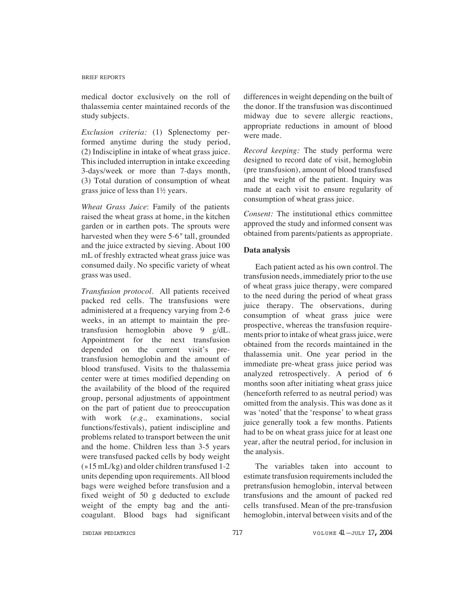#### BRIEF REPORTS

medical doctor exclusively on the roll of thalassemia center maintained records of the study subjects.

*Exclusion criteria:* (1) Splenectomy performed anytime during the study period, (2) Indiscipline in intake of wheat grass juice. This included interruption in intake exceeding 3-days/week or more than 7-days month, (3) Total duration of consumption of wheat grass juice of less than 1½ years.

*Wheat Grass Juice*: Family of the patients raised the wheat grass at home, in the kitchen garden or in earthen pots. The sprouts were harvested when they were 5-6*"* tall, grounded and the juice extracted by sieving. About 100 mL of freshly extracted wheat grass juice was consumed daily. No specific variety of wheat grass was used.

*Transfusion protocol*. All patients received packed red cells. The transfusions were administered at a frequency varying from 2-6 weeks, in an attempt to maintain the pretransfusion hemoglobin above 9 g/dL. Appointment for the next transfusion depended on the current visit's pretransfusion hemoglobin and the amount of blood transfused. Visits to the thalassemia center were at times modified depending on the availability of the blood of the required group, personal adjustments of appointment on the part of patient due to preoccupation with work (*e.g.,* examinations, social functions/festivals), patient indiscipline and problems related to transport between the unit and the home. Children less than 3-5 years were transfused packed cells by body weight (»15 mL/kg) and older children transfused 1-2 units depending upon requirements. All blood bags were weighed before transfusion and a fixed weight of 50 g deducted to exclude weight of the empty bag and the anticoagulant. Blood bags had significant

differences in weight depending on the built of the donor. If the transfusion was discontinued midway due to severe allergic reactions, appropriate reductions in amount of blood were made.

*Record keeping:* The study performa were designed to record date of visit, hemoglobin (pre transfusion), amount of blood transfused and the weight of the patient. Inquiry was made at each visit to ensure regularity of consumption of wheat grass juice.

*Consent:* The institutional ethics committee approved the study and informed consent was obtained from parents/patients as appropriate.

# **Data analysis**

Each patient acted as his own control. The transfusion needs, immediately prior to the use of wheat grass juice therapy, were compared to the need during the period of wheat grass juice therapy. The observations, during consumption of wheat grass juice were prospective, whereas the transfusion requirements prior to intake of wheat grass juice, were obtained from the records maintained in the thalassemia unit. One year period in the immediate pre-wheat grass juice period was analyzed retrospectively. A period of 6 months soon after initiating wheat grass juice (henceforth referred to as neutral period) was omitted from the analysis. This was done as it was 'noted' that the 'response' to wheat grass juice generally took a few months. Patients had to be on wheat grass juice for at least one year, after the neutral period, for inclusion in the analysis.

The variables taken into account to estimate transfusion requirements included the pretransfusion hemoglobin, interval between transfusions and the amount of packed red cells transfused. Mean of the pre-transfusion hemoglobin, interval between visits and of the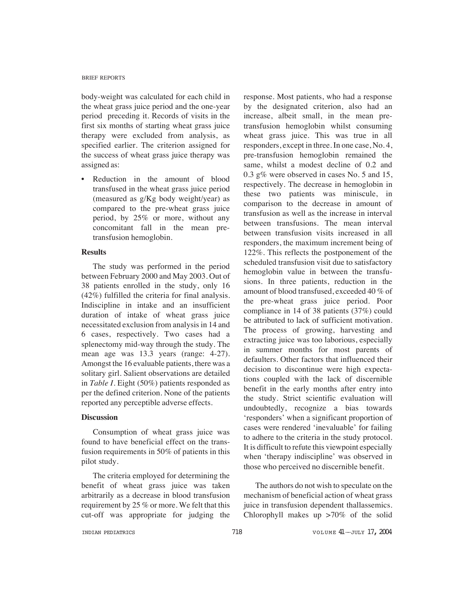#### BRIEF REPORTS

body-weight was calculated for each child in the wheat grass juice period and the one-year period preceding it. Records of visits in the first six months of starting wheat grass juice therapy were excluded from analysis, as specified earlier. The criterion assigned for the success of wheat grass juice therapy was assigned as:

Reduction in the amount of blood transfused in the wheat grass juice period (measured as g/Kg body weight/year) as compared to the pre-wheat grass juice period, by 25% or more, without any concomitant fall in the mean pretransfusion hemoglobin.

# **Results**

The study was performed in the period between February 2000 and May 2003. Out of 38 patients enrolled in the study, only 16 (42%) fulfilled the criteria for final analysis. Indiscipline in intake and an insufficient duration of intake of wheat grass juice necessitated exclusion from analysis in 14 and 6 cases, respectively. Two cases had a splenectomy mid-way through the study. The mean age was 13.3 years (range: 4-27). Amongst the 16 evaluable patients, there was a solitary girl. Salient observations are detailed in *Table I*. Eight (50%) patients responded as per the defined criterion. None of the patients reported any perceptible adverse effects.

## **Discussion**

Consumption of wheat grass juice was found to have beneficial effect on the transfusion requirements in 50% of patients in this pilot study.

The criteria employed for determining the benefit of wheat grass juice was taken arbitrarily as a decrease in blood transfusion requirement by 25 % or more. We felt that this cut-off was appropriate for judging the response. Most patients, who had a response by the designated criterion, also had an increase, albeit small, in the mean pretransfusion hemoglobin whilst consuming wheat grass juice. This was true in all responders, except in three. In one case, No. 4, pre-transfusion hemoglobin remained the same, whilst a modest decline of 0.2 and 0.3 g% were observed in cases No. 5 and 15, respectively. The decrease in hemoglobin in these two patients was miniscule, in comparison to the decrease in amount of transfusion as well as the increase in interval between transfusions. The mean interval between transfusion visits increased in all responders, the maximum increment being of 122%. This reflects the postponement of the scheduled transfusion visit due to satisfactory hemoglobin value in between the transfusions. In three patients, reduction in the amount of blood transfused, exceeded 40 % of the pre-wheat grass juice period. Poor compliance in 14 of 38 patients (37%) could be attributed to lack of sufficient motivation. The process of growing, harvesting and extracting juice was too laborious, especially in summer months for most parents of defaulters. Other factors that influenced their decision to discontinue were high expectations coupled with the lack of discernible benefit in the early months after entry into the study. Strict scientific evaluation will undoubtedly, recognize a bias towards 'responders' when a significant proportion of cases were rendered 'inevaluable' for failing to adhere to the criteria in the study protocol. It is difficult to refute this viewpoint especially when 'therapy indiscipline' was observed in those who perceived no discernible benefit.

The authors do not wish to speculate on the mechanism of beneficial action of wheat grass juice in transfusion dependent thallassemics. Chlorophyll makes up >70% of the solid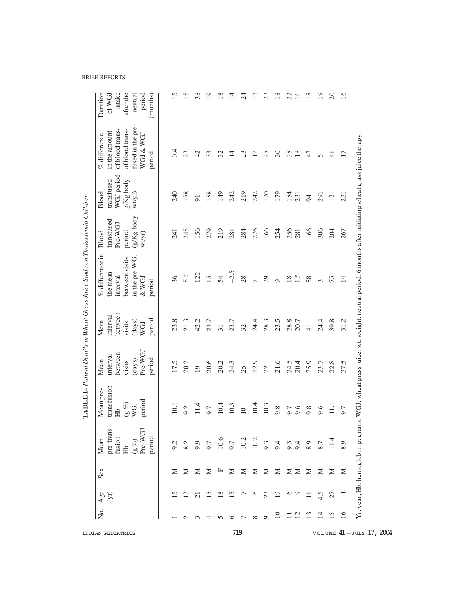|                   |                |                       |     |                                                                                                         |                                                                                 |                                                                      |                                                                  | TABLE I-Patient Details in Wheat Grass Juice Study on Thalassemia Children.                                                                 |                                                                |                                                            |                                                                                                                 |                                                                           |
|-------------------|----------------|-----------------------|-----|---------------------------------------------------------------------------------------------------------|---------------------------------------------------------------------------------|----------------------------------------------------------------------|------------------------------------------------------------------|---------------------------------------------------------------------------------------------------------------------------------------------|----------------------------------------------------------------|------------------------------------------------------------|-----------------------------------------------------------------------------------------------------------------|---------------------------------------------------------------------------|
| INDIAN PEDIATRICS | δ.             | Age<br>$\overline{S}$ | Sex | pre-trans-<br>$\overline{G}$<br>period<br>fusion<br>Pre-W<br>Mean<br>$(\mathbf{g} \ \mathcal{U})$<br>Hb | transfusion<br>Mean pre-<br>period<br>$(\mathbf{g} \, \mathcal{G})$<br>WGJ<br>Ê | Pre-WGJ<br>between<br>interval<br>period<br>(days)<br>Mean<br>visits | between<br>interval<br>period<br>(days)<br>Mean<br>visits<br>WGJ | $\%$ difference in<br>in the pre-WGJ<br>between visits<br>the mean<br>interval<br>$&$ WGJ<br>period                                         | (g/Kg body<br>transfused<br>Pre-WGJ<br>period<br>Blood<br>wtyr | WGJ period<br>transfused<br>$g/Kg$ body<br>Blood<br>wt/yr) | fused in the pre-<br>of blood trans-<br>of blood trans-<br>in the amount<br>% difference<br>WGJ & WGJ<br>period | intake<br>after the<br>Duration<br>period<br>of WG.<br>(months)<br>neutra |
|                   |                |                       | ⋝   |                                                                                                         | $\overline{0}$                                                                  | 17.5                                                                 | 23.8                                                             | 36                                                                                                                                          | 241                                                            | 240                                                        | 0.4                                                                                                             |                                                                           |
|                   |                |                       | ⋝   |                                                                                                         | 9.2                                                                             | 20.2                                                                 | 21.3                                                             | 5.4                                                                                                                                         | 245                                                            | 188                                                        | 23                                                                                                              |                                                                           |
|                   |                |                       | ⋝   |                                                                                                         |                                                                                 | $\overline{0}$                                                       | 42.2                                                             | 122                                                                                                                                         | 156                                                            | $\overline{91}$                                            | 42                                                                                                              |                                                                           |
|                   |                |                       | ⋝   |                                                                                                         | 9.7                                                                             | 20.6                                                                 | 23.7                                                             | 15                                                                                                                                          | 279                                                            | 188                                                        | 33                                                                                                              |                                                                           |
|                   |                |                       | 山   | 10.6                                                                                                    | 10.4                                                                            | 20.2                                                                 |                                                                  | 54                                                                                                                                          | 219                                                            | 149                                                        | 32                                                                                                              |                                                                           |
|                   | ∘              |                       | ⋝   | 7.F                                                                                                     | 10.3                                                                            | $24.3$                                                               | 23.7                                                             | $-2.5$                                                                                                                                      | 281                                                            | 242                                                        | ᅼ                                                                                                               |                                                                           |
| 719               |                |                       | ⊠   | 10.2                                                                                                    | $\overline{10}$                                                                 | 25                                                                   | 32                                                               | 28                                                                                                                                          | 284                                                            | 219                                                        | 23                                                                                                              |                                                                           |
|                   | $\infty$       |                       | Σ   | 10.2                                                                                                    | 10.4                                                                            | 22.9                                                                 | 24.4                                                             |                                                                                                                                             | 276                                                            | 242                                                        | $\overline{2}$                                                                                                  |                                                                           |
|                   |                | 23                    | Σ   | 9.3                                                                                                     | 10.3                                                                            | 22                                                                   | 28.3                                                             | 29                                                                                                                                          | 166                                                            | 120                                                        | 28                                                                                                              | g                                                                         |
|                   |                |                       | Σ   | 9.4                                                                                                     | 9.8                                                                             | 21.6                                                                 | 23.5                                                             | $\circ$                                                                                                                                     | 254                                                            | 179                                                        | $\Im$                                                                                                           |                                                                           |
|                   |                |                       | Σ   | 9.3                                                                                                     | 9.7                                                                             | 24.5                                                                 | 28.8                                                             | $\overline{18}$                                                                                                                             | 256                                                            | 184                                                        | 28                                                                                                              | 22                                                                        |
|                   | $\Xi$          |                       | ⊠   | 9.4                                                                                                     | 9.6                                                                             | 20.4                                                                 | 20.7                                                             | $\tilde{1}$                                                                                                                                 | 281                                                            | 231                                                        | 18                                                                                                              |                                                                           |
|                   | ≌              |                       | Σ   |                                                                                                         | 9.8                                                                             | 25.9                                                                 | $\frac{1}{4}$                                                    | 58                                                                                                                                          | 166                                                            | $\overline{5}$                                             | 43                                                                                                              |                                                                           |
|                   | 크              | $\frac{7}{4}$         | Σ   |                                                                                                         | 9.6                                                                             | 23.7                                                                 | 24.4                                                             | $\sim$                                                                                                                                      | 306                                                            | 291                                                        | $\sqrt{2}$                                                                                                      | $\overline{\phantom{0}}$                                                  |
|                   | Ñ              | 27                    | Σ   |                                                                                                         | Ξ                                                                               | 22.8                                                                 | 39.8                                                             | 75                                                                                                                                          | 204                                                            | $\overline{2}$                                             | 구                                                                                                               | 20                                                                        |
|                   | $\overline{6}$ | ₹                     | ⋝   | Q                                                                                                       | 9.7                                                                             | 27.5                                                                 | Ċ<br>$\overline{31}$                                             | ᅼ                                                                                                                                           | 267                                                            | $\overline{21}$                                            | $\overline{1}$                                                                                                  | ≌                                                                         |
| VOLUME 41-JULY    |                |                       |     |                                                                                                         |                                                                                 |                                                                      |                                                                  | Yr: year, Hb: hemoglobin, g: grams, WGJ: wheat grass juice, wt: weight, neutral period: 6 months after initiating wheat grass juice therapy |                                                                |                                                            |                                                                                                                 |                                                                           |

BRIEF REPORTS